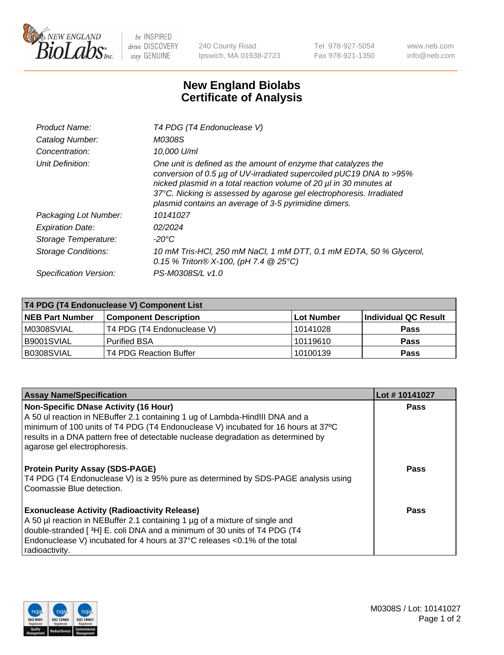

 $be$  INSPIRED drive DISCOVERY stay GENUINE

240 County Road Ipswich, MA 01938-2723 Tel 978-927-5054 Fax 978-921-1350 www.neb.com info@neb.com

## **New England Biolabs Certificate of Analysis**

| Product Name:           | T4 PDG (T4 Endonuclease V)                                                                                                                                                                                                                                                                                                                    |
|-------------------------|-----------------------------------------------------------------------------------------------------------------------------------------------------------------------------------------------------------------------------------------------------------------------------------------------------------------------------------------------|
| Catalog Number:         | M0308S                                                                                                                                                                                                                                                                                                                                        |
| Concentration:          | 10.000 U/ml                                                                                                                                                                                                                                                                                                                                   |
| Unit Definition:        | One unit is defined as the amount of enzyme that catalyzes the<br>conversion of 0.5 µg of UV-irradiated supercoiled pUC19 DNA to >95%<br>nicked plasmid in a total reaction volume of 20 µl in 30 minutes at<br>37°C. Nicking is assessed by agarose gel electrophoresis. Irradiated<br>plasmid contains an average of 3-5 pyrimidine dimers. |
| Packaging Lot Number:   | 10141027                                                                                                                                                                                                                                                                                                                                      |
| <b>Expiration Date:</b> | 02/2024                                                                                                                                                                                                                                                                                                                                       |
| Storage Temperature:    | $-20^{\circ}$ C                                                                                                                                                                                                                                                                                                                               |
| Storage Conditions:     | 10 mM Tris-HCl, 250 mM NaCl, 1 mM DTT, 0.1 mM EDTA, 50 % Glycerol,<br>0.15 % Triton® X-100, (pH 7.4 @ 25°C)                                                                                                                                                                                                                                   |
| Specification Version:  | PS-M0308S/L v1.0                                                                                                                                                                                                                                                                                                                              |

| T4 PDG (T4 Endonuclease V) Component List |                              |              |                      |  |
|-------------------------------------------|------------------------------|--------------|----------------------|--|
| <b>NEB Part Number</b>                    | <b>Component Description</b> | l Lot Number | Individual QC Result |  |
| M0308SVIAL                                | T4 PDG (T4 Endonuclease V)   | 10141028     | <b>Pass</b>          |  |
| B9001SVIAL                                | <b>Purified BSA</b>          | 10119610     | Pass                 |  |
| B0308SVIAL                                | T4 PDG Reaction Buffer       | 10100139     | <b>Pass</b>          |  |

| <b>Assay Name/Specification</b>                                                                                                                                                                                                                                                                               | Lot #10141027 |
|---------------------------------------------------------------------------------------------------------------------------------------------------------------------------------------------------------------------------------------------------------------------------------------------------------------|---------------|
| <b>Non-Specific DNase Activity (16 Hour)</b><br>A 50 ul reaction in NEBuffer 2.1 containing 1 ug of Lambda-HindIII DNA and a<br>minimum of 100 units of T4 PDG (T4 Endonuclease V) incubated for 16 hours at 37°C<br>results in a DNA pattern free of detectable nuclease degradation as determined by        | <b>Pass</b>   |
| agarose gel electrophoresis.                                                                                                                                                                                                                                                                                  |               |
| <b>Protein Purity Assay (SDS-PAGE)</b><br>T4 PDG (T4 Endonuclease V) is ≥ 95% pure as determined by SDS-PAGE analysis using<br>Coomassie Blue detection.                                                                                                                                                      | <b>Pass</b>   |
| <b>Exonuclease Activity (Radioactivity Release)</b><br>A 50 µl reaction in NEBuffer 2.1 containing 1 µg of a mixture of single and<br>double-stranded [3H] E. coli DNA and a minimum of 30 units of T4 PDG (T4<br>Endonuclease V) incubated for 4 hours at 37°C releases <0.1% of the total<br>radioactivity. | Pass          |